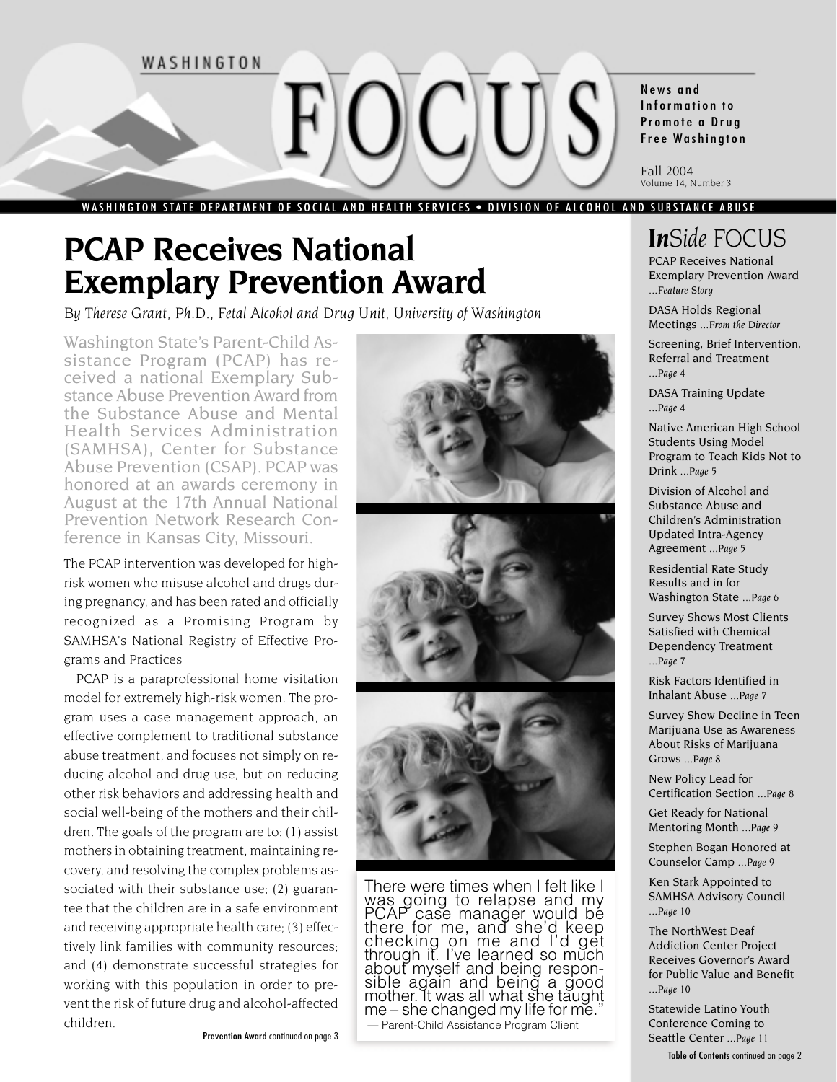

# **PCAP Receives National Exemplary Prevention Award**

*By Therese Grant, Ph.D., Fetal Alcohol and Drug Unit, University of Washington*

Washington State's Parent-Child Assistance Program (PCAP) has received a national Exemplary Substance Abuse Prevention Award from the Substance Abuse and Mental Health Services Administration (SAMHSA), Center for Substance Abuse Prevention (CSAP). PCAP was honored at an awards ceremony in August at the 17th Annual National Prevention Network Research Conference in Kansas City, Missouri.

The PCAP intervention was developed for highrisk women who misuse alcohol and drugs during pregnancy, and has been rated and officially recognized as a Promising Program by SAMHSA's National Registry of Effective Programs and Practices

PCAP is a paraprofessional home visitation model for extremely high-risk women. The program uses a case management approach, an effective complement to traditional substance abuse treatment, and focuses not simply on reducing alcohol and drug use, but on reducing other risk behaviors and addressing health and social well-being of the mothers and their children. The goals of the program are to: (1) assist mothers in obtaining treatment, maintaining recovery, and resolving the complex problems associated with their substance use; (2) guarantee that the children are in a safe environment and receiving appropriate health care; (3) effectively link families with community resources; and (4) demonstrate successful strategies for working with this population in order to prevent the risk of future drug and alcohol-affected children.





There were times when I felt like I was going to relapse and my PCAP case manager would be there for me, and she'd keep checking on me and I'd get through it. I've learned so much about myself and being responsible again and being a good mother. It was all what she taught  $me$  – she changed my life for me. — Parent-Child Assistance Program Client

News and Information to Promote a Drug Free Washington

Fall 2004 Volume 14, Number 3

# *InSide FOCUS*

PCAP Receives National Exemplary Prevention Award ...*Feature Story*

DASA Holds Regional Meetings ...*From the Director*

Screening, Brief Intervention, Referral and Treatment ...*Page 4*

DASA Training Update ...*Page 4*

Native American High School Students Using Model Program to Teach Kids Not to Drink ...*Page 5*

Division of Alcohol and Substance Abuse and Children's Administration Updated Intra-Agency Agreement ...*Page 5*

Residential Rate Study Results and in for Washington State ...*Page 6*

Survey Shows Most Clients Satisfied with Chemical Dependency Treatment ...*Page 7*

Risk Factors Identified in Inhalant Abuse ...*Page 7*

Survey Show Decline in Teen Marijuana Use as Awareness About Risks of Marijuana Grows ...*Page 8*

New Policy Lead for Certification Section ...*Page 8*

Get Ready for National Mentoring Month ...*Page 9*

Stephen Bogan Honored at Counselor Camp ...*Page 9*

Ken Stark Appointed to SAMHSA Advisory Council ...*Page 10*

The NorthWest Deaf Addiction Center Project Receives Governor's Award for Public Value and Benefit ...*Page 10*

Statewide Latino Youth Conference Coming to Seattle Center ...*Page 11* Table of Contents continued on page 2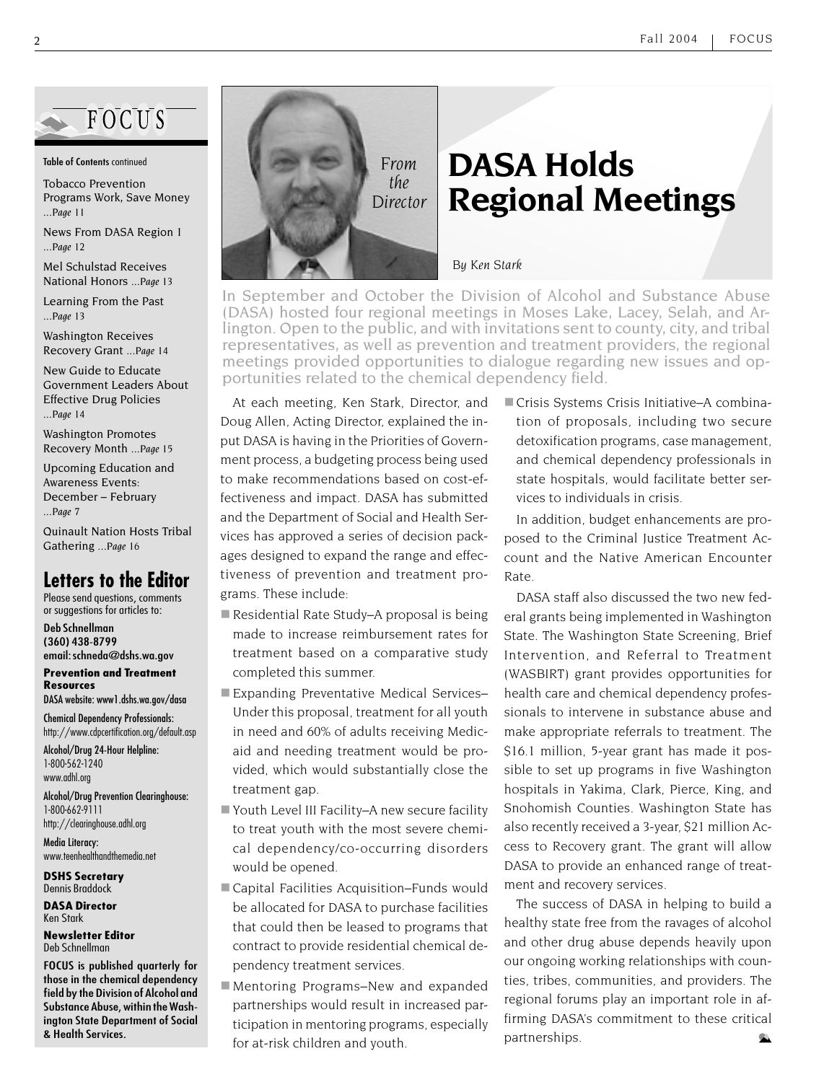

#### Table of Contents continued

Tobacco Prevention Programs Work, Save Money ...*Page 11*

News From DASA Region 1 ...*Page 12*

Mel Schulstad Receives National Honors ...*Page 13*

Learning From the Past ...*Page 13*

Washington Receives Recovery Grant ...*Page 14*

New Guide to Educate Government Leaders About Effective Drug Policies ...*Page 14*

Washington Promotes Recovery Month ...*Page 15*

Upcoming Education and Awareness Events: December – February ...*Page 7*

Quinault Nation Hosts Tribal Gathering ...*Page 16*

#### **Letters to the Editor**

Please send questions, comments or suggestions for articles to:

Deb Schnellman (360) 438-8799 email: schneda@dshs.wa.gov

**Prevention and Treatment Resources**

DASA website: www1.dshs.wa.gov/dasa

Chemical Dependency Professionals: http://www.cdpcertification.org/default.asp

Alcohol/Drug 24-Hour Helpline: 1-800-562-1240 www.adhl.org

Alcohol/Drug Prevention Clearinghouse: 1-800-662-9111 http://clearinghouse.adhl.org

Media Literacy: www.teenhealthandthemedia.net

**DSHS Secretary** Dennis Braddock

**DASA Director** Ken Stark

**Newsletter Editor** Deb Schnellman

FOCUS is published quarterly for those in the chemical dependency field by the Division of Alcohol and Substance Abuse, within the Washington State Department of Social & Health Services.



# **DASA Holds Regional Meetings**

*By Ken Stark*

In September and October the Division of Alcohol and Substance Abuse (DASA) hosted four regional meetings in Moses Lake, Lacey, Selah, and Arlington. Open to the public, and with invitations sent to county, city, and tribal representatives, as well as prevention and treatment providers, the regional meetings provided opportunities to dialogue regarding new issues and opportunities related to the chemical dependency field.

At each meeting, Ken Stark, Director, and Doug Allen, Acting Director, explained the input DASA is having in the Priorities of Government process, a budgeting process being used to make recommendations based on cost-effectiveness and impact. DASA has submitted and the Department of Social and Health Services has approved a series of decision packages designed to expand the range and effectiveness of prevention and treatment programs. These include:

- Residential Rate Study–A proposal is being made to increase reimbursement rates for treatment based on a comparative study completed this summer.
- Expanding Preventative Medical Services– Under this proposal, treatment for all youth in need and 60% of adults receiving Medicaid and needing treatment would be provided, which would substantially close the treatment gap.
- Youth Level III Facility–A new secure facility to treat youth with the most severe chemical dependency/co-occurring disorders would be opened.
- Capital Facilities Acquisition–Funds would be allocated for DASA to purchase facilities that could then be leased to programs that contract to provide residential chemical dependency treatment services.
- Mentoring Programs–New and expanded partnerships would result in increased participation in mentoring programs, especially for at-risk children and youth.

■ Crisis Systems Crisis Initiative–A combination of proposals, including two secure detoxification programs, case management, and chemical dependency professionals in state hospitals, would facilitate better services to individuals in crisis.

In addition, budget enhancements are proposed to the Criminal Justice Treatment Account and the Native American Encounter Rate.

DASA staff also discussed the two new federal grants being implemented in Washington State. The Washington State Screening, Brief Intervention, and Referral to Treatment (WASBIRT) grant provides opportunities for health care and chemical dependency professionals to intervene in substance abuse and make appropriate referrals to treatment. The \$16.1 million, 5-year grant has made it possible to set up programs in five Washington hospitals in Yakima, Clark, Pierce, King, and Snohomish Counties. Washington State has also recently received a 3-year, \$21 million Access to Recovery grant. The grant will allow DASA to provide an enhanced range of treatment and recovery services.

The success of DASA in helping to build a healthy state free from the ravages of alcohol and other drug abuse depends heavily upon our ongoing working relationships with counties, tribes, communities, and providers. The regional forums play an important role in affirming DASA's commitment to these critical partnerships.  $\infty$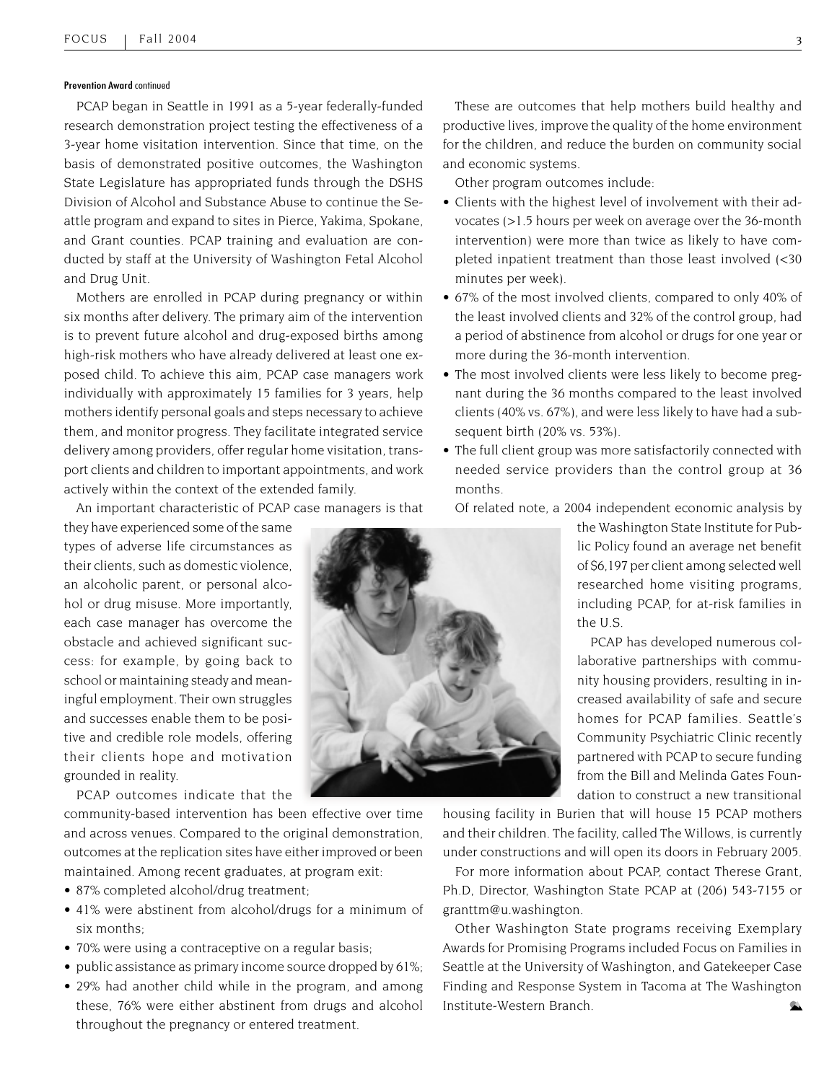#### Prevention Award continued

PCAP began in Seattle in 1991 as a 5-year federally-funded research demonstration project testing the effectiveness of a 3-year home visitation intervention. Since that time, on the basis of demonstrated positive outcomes, the Washington State Legislature has appropriated funds through the DSHS Division of Alcohol and Substance Abuse to continue the Seattle program and expand to sites in Pierce, Yakima, Spokane, and Grant counties. PCAP training and evaluation are conducted by staff at the University of Washington Fetal Alcohol and Drug Unit.

Mothers are enrolled in PCAP during pregnancy or within six months after delivery. The primary aim of the intervention is to prevent future alcohol and drug-exposed births among high-risk mothers who have already delivered at least one exposed child. To achieve this aim, PCAP case managers work individually with approximately 15 families for 3 years, help mothers identify personal goals and steps necessary to achieve them, and monitor progress. They facilitate integrated service delivery among providers, offer regular home visitation, transport clients and children to important appointments, and work actively within the context of the extended family.

An important characteristic of PCAP case managers is that

they have experienced some of the same types of adverse life circumstances as their clients, such as domestic violence, an alcoholic parent, or personal alcohol or drug misuse. More importantly, each case manager has overcome the obstacle and achieved significant success: for example, by going back to school or maintaining steady and meaningful employment. Their own struggles and successes enable them to be positive and credible role models, offering their clients hope and motivation grounded in reality.

PCAP outcomes indicate that the

community-based intervention has been effective over time and across venues. Compared to the original demonstration, outcomes at the replication sites have either improved or been maintained. Among recent graduates, at program exit:

- 87% completed alcohol/drug treatment;
- 41% were abstinent from alcohol/drugs for a minimum of six months;
- 70% were using a contraceptive on a regular basis;
- public assistance as primary income source dropped by 61%;
- 29% had another child while in the program, and among these, 76% were either abstinent from drugs and alcohol throughout the pregnancy or entered treatment.

These are outcomes that help mothers build healthy and productive lives, improve the quality of the home environment for the children, and reduce the burden on community social and economic systems.

Other program outcomes include:

- Clients with the highest level of involvement with their advocates (>1.5 hours per week on average over the 36-month intervention) were more than twice as likely to have completed inpatient treatment than those least involved (<30 minutes per week).
- 67% of the most involved clients, compared to only 40% of the least involved clients and 32% of the control group, had a period of abstinence from alcohol or drugs for one year or more during the 36-month intervention.
- The most involved clients were less likely to become pregnant during the 36 months compared to the least involved clients (40% vs. 67%), and were less likely to have had a subsequent birth (20% vs. 53%).
- The full client group was more satisfactorily connected with needed service providers than the control group at 36 months.

Of related note, a 2004 independent economic analysis by

the Washington State Institute for Public Policy found an average net benefit of \$6,197 per client among selected well researched home visiting programs, including PCAP, for at-risk families in the U.S.

PCAP has developed numerous collaborative partnerships with community housing providers, resulting in increased availability of safe and secure homes for PCAP families. Seattle's Community Psychiatric Clinic recently partnered with PCAP to secure funding from the Bill and Melinda Gates Foundation to construct a new transitional

housing facility in Burien that will house 15 PCAP mothers and their children. The facility, called The Willows, is currently under constructions and will open its doors in February 2005.

For more information about PCAP, contact Therese Grant, Ph.D, Director, Washington State PCAP at (206) 543-7155 or granttm@u.washington.

Other Washington State programs receiving Exemplary Awards for Promising Programs included Focus on Families in Seattle at the University of Washington, and Gatekeeper Case Finding and Response System in Tacoma at The Washington Institute-Western Branch.  $\infty$ 

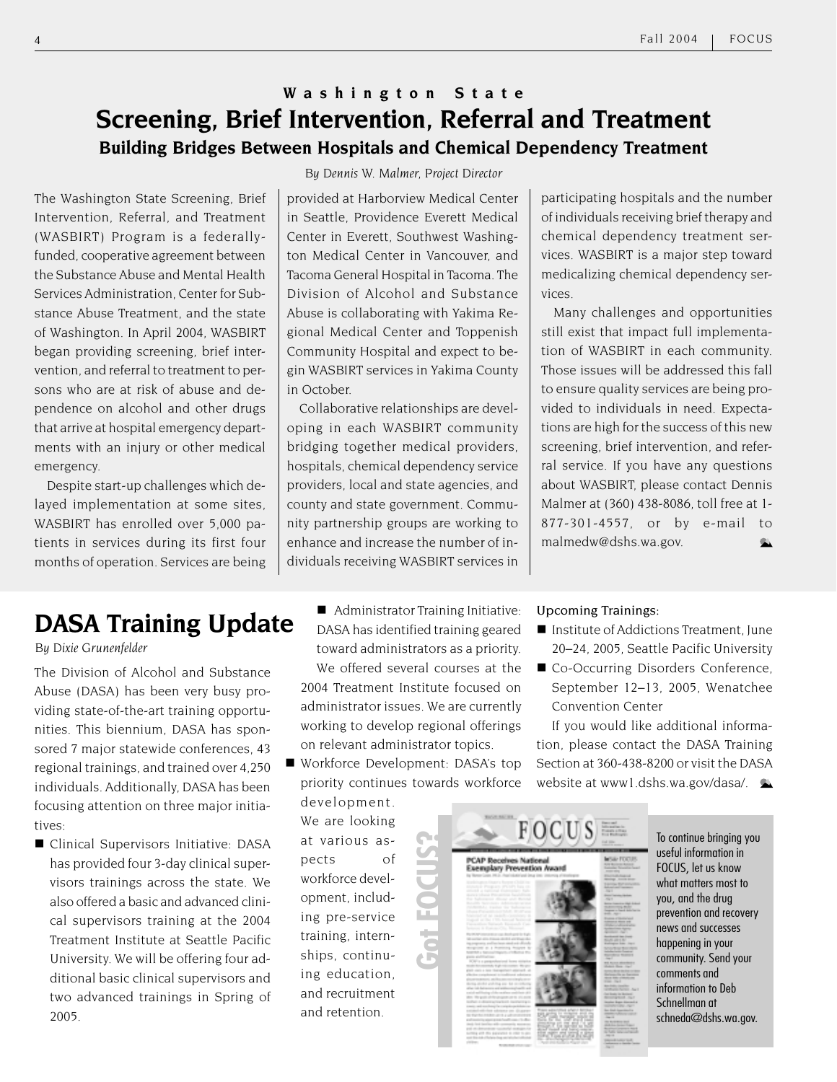### **Washington State Screening, Brief Intervention, Referral and Treatment Building Bridges Between Hospitals and Chemical Dependency Treatment**

The Washington State Screening, Brief Intervention, Referral, and Treatment (WASBIRT) Program is a federallyfunded, cooperative agreement between the Substance Abuse and Mental Health Services Administration, Center for Substance Abuse Treatment, and the state of Washington. In April 2004, WASBIRT began providing screening, brief intervention, and referral to treatment to persons who are at risk of abuse and dependence on alcohol and other drugs that arrive at hospital emergency departments with an injury or other medical emergency.

Despite start-up challenges which delayed implementation at some sites, WASBIRT has enrolled over 5,000 patients in services during its first four months of operation. Services are being *By Dennis W. Malmer, Project Director*

provided at Harborview Medical Center in Seattle, Providence Everett Medical Center in Everett, Southwest Washington Medical Center in Vancouver, and Tacoma General Hospital in Tacoma. The Division of Alcohol and Substance Abuse is collaborating with Yakima Regional Medical Center and Toppenish Community Hospital and expect to begin WASBIRT services in Yakima County in October.

Collaborative relationships are developing in each WASBIRT community bridging together medical providers, hospitals, chemical dependency service providers, local and state agencies, and county and state government. Community partnership groups are working to enhance and increase the number of individuals receiving WASBIRT services in participating hospitals and the number of individuals receiving brief therapy and chemical dependency treatment services. WASBIRT is a major step toward medicalizing chemical dependency services.

Many challenges and opportunities still exist that impact full implementation of WASBIRT in each community. Those issues will be addressed this fall to ensure quality services are being provided to individuals in need. Expectations are high for the success of this new screening, brief intervention, and referral service. If you have any questions about WASBIRT, please contact Dennis Malmer at (360) 438-8086, toll free at 1- 877-301-4557, or by e-mail to malmedw@dshs.wa.gov.  $\bullet$ 

# **DASA Training Update**

*By Dixie Grunenfelder*

The Division of Alcohol and Substance Abuse (DASA) has been very busy providing state-of-the-art training opportunities. This biennium, DASA has sponsored 7 major statewide conferences, 43 regional trainings, and trained over 4,250 individuals. Additionally, DASA has been focusing attention on three major initiatives:

Clinical Supervisors Initiative: DASA has provided four 3-day clinical supervisors trainings across the state. We also offered a basic and advanced clinical supervisors training at the 2004 Treatment Institute at Seattle Pacific University. We will be offering four additional basic clinical supervisors and two advanced trainings in Spring of 2005.

■ Administrator Training Initiative: DASA has identified training geared toward administrators as a priority. We offered several courses at the 2004 Treatment Institute focused on administrator issues. We are currently working to develop regional offerings on relevant administrator topics.

Workforce Development: DASA's top priority continues towards workforce development.

**Got FOCUS?**

We are looking at various aspects of workforce development, including pre-service training, internships, continuing education, and recruitment and retention.

#### Upcoming Trainings:

 $FOCUS \equiv$ 

**PCAP Receives National**<br>Exemplary Prevention Award

- Institute of Addictions Treatment, June 20–24, 2005, Seattle Pacific University
- Co-Occurring Disorders Conference, September 12–13, 2005, Wenatchee Convention Center

If you would like additional information, please contact the DASA Training Section at 360-438-8200 or visit the DASA website at www1.dshs.wa.gov/dasa/.

> To continue bringing you useful information in FOCUS, let us know what matters most to you, and the drug prevention and recovery news and successes happening in your community. Send your comments and information to Deb Schnellman at schneda@dshs.wa.gov.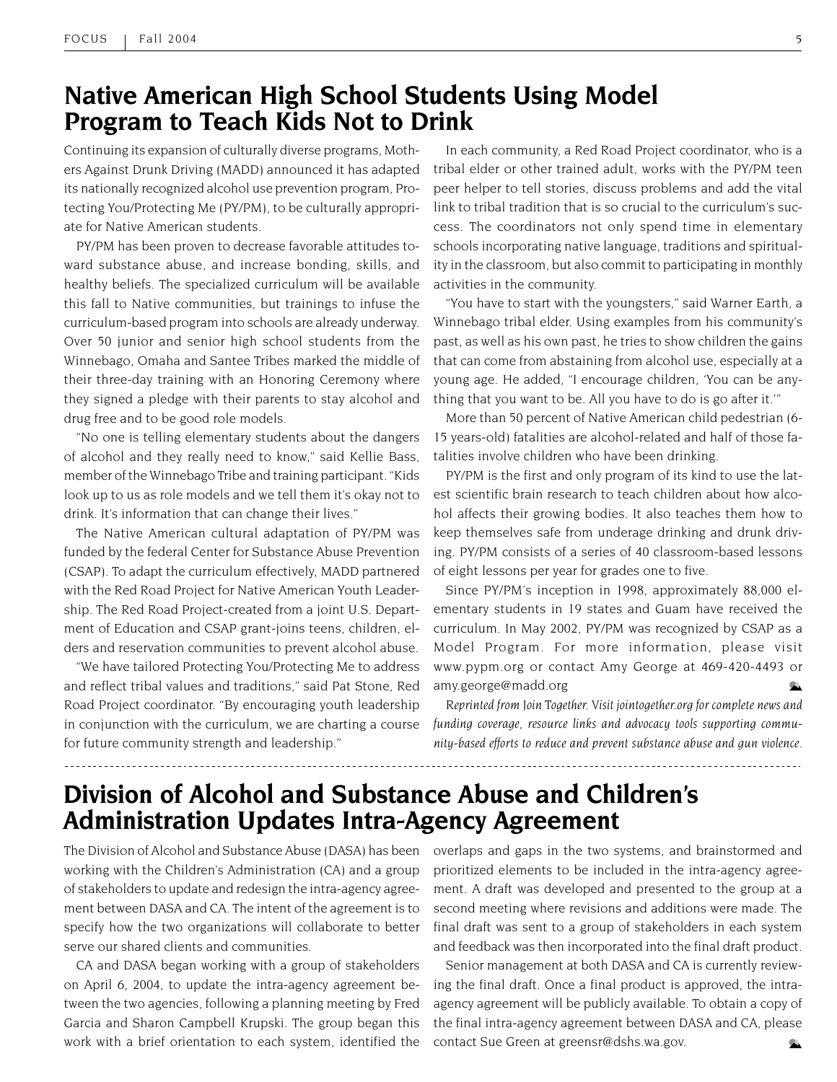### **Native American High School Students Using Model Program to Teach Kids Not to Drink**

Continuing its expansion of culturally diverse programs, Mothers Against Drunk Driving (MADD) announced it has adapted its nationally recognized alcohol use prevention program, Protecting You/Protecting Me (PY/PM), to be culturally appropriate for Native American students.

PY/PM has been proven to decrease favorable attitudes toward substance abuse, and increase bonding, skills, and healthy beliefs. The specialized curriculum will be available this fall to Native communities, but trainings to infuse the curriculum-based program into schools are already underway. Over 50 junior and senior high school students from the Winnebago, Omaha and Santee Tribes marked the middle of their three-day training with an Honoring Ceremony where they signed a pledge with their parents to stay alcohol and drug free and to be good role models.

"No one is telling elementary students about the dangers of alcohol and they really need to know," said Kellie Bass, member of the Winnebago Tribe and training participant. "Kids look up to us as role models and we tell them it's okay not to drink. It's information that can change their lives."

The Native American cultural adaptation of PY/PM was funded by the federal Center for Substance Abuse Prevention (CSAP). To adapt the curriculum effectively, MADD partnered with the Red Road Project for Native American Youth Leadership. The Red Road Project-created from a joint U.S. Department of Education and CSAP grant-joins teens, children, elders and reservation communities to prevent alcohol abuse.

"We have tailored Protecting You/Protecting Me to address and reflect tribal values and traditions," said Pat Stone, Red Road Project coordinator. "By encouraging youth leadership in conjunction with the curriculum, we are charting a course for future community strength and leadership."

In each community, a Red Road Project coordinator, who is a tribal elder or other trained adult, works with the PY/PM teen peer helper to tell stories, discuss problems and add the vital link to tribal tradition that is so crucial to the curriculum's success. The coordinators not only spend time in elementary schools incorporating native language, traditions and spirituality in the classroom, but also commit to participating in monthly activities in the community.

"You have to start with the youngsters," said Warner Earth, a Winnebago tribal elder. Using examples from his community's past, as well as his own past, he tries to show children the gains that can come from abstaining from alcohol use, especially at a young age. He added, "I encourage children, 'You can be anything that you want to be. All you have to do is go after it.'"

More than 50 percent of Native American child pedestrian (6- 15 years-old) fatalities are alcohol-related and half of those fatalities involve children who have been drinking.

PY/PM is the first and only program of its kind to use the latest scientific brain research to teach children about how alcohol affects their growing bodies. It also teaches them how to keep themselves safe from underage drinking and drunk driving. PY/PM consists of a series of 40 classroom-based lessons of eight lessons per year for grades one to five.

Since PY/PM's inception in 1998, approximately 88,000 elementary students in 19 states and Guam have received the curriculum. In May 2002, PY/PM was recognized by CSAP as a Model Program. For more information, please visit www.pypm.org or contact Amy George at 469-420-4493 or amy.george@madd.org

*Reprinted from Join Together. Visit jointogether.org for complete news and funding coverage, resource links and advocacy tools supporting community-based efforts to reduce and prevent substance abuse and gun violence.*

### **Division of Alcohol and Substance Abuse and Children's Administration Updates Intra-Agency Agreement**

The Division of Alcohol and Substance Abuse (DASA) has been working with the Children's Administration (CA) and a group of stakeholders to update and redesign the intra-agency agreement between DASA and CA. The intent of the agreement is to specify how the two organizations will collaborate to better serve our shared clients and communities.

CA and DASA began working with a group of stakeholders on April 6, 2004, to update the intra-agency agreement between the two agencies, following a planning meeting by Fred Garcia and Sharon Campbell Krupski. The group began this work with a brief orientation to each system, identified the

overlaps and gaps in the two systems, and brainstormed and prioritized elements to be included in the intra-agency agreement. A draft was developed and presented to the group at a second meeting where revisions and additions were made. The final draft was sent to a group of stakeholders in each system and feedback was then incorporated into the final draft product.

Senior management at both DASA and CA is currently reviewing the final draft. Once a final product is approved, the intraagency agreement will be publicly available. To obtain a copy of the final intra-agency agreement between DASA and CA, please contact Sue Green at greensr@dshs.wa.gov.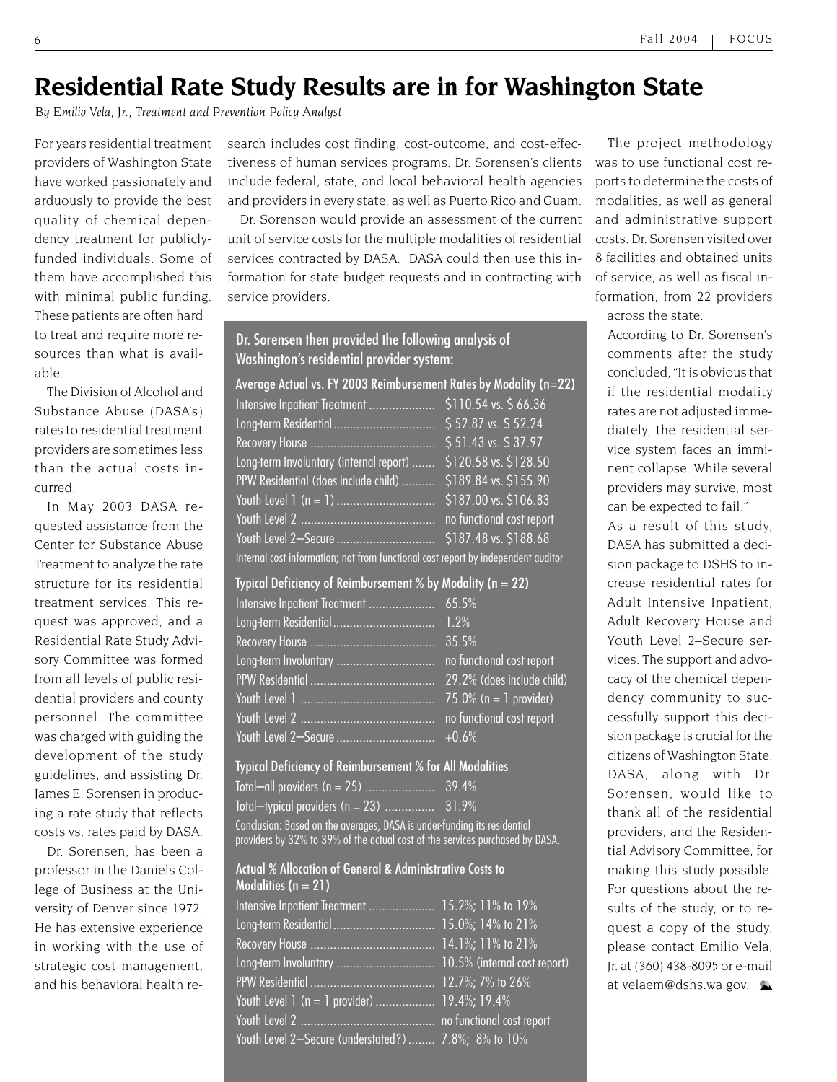## **Residential Rate Study Results are in for Washington State**

*By Emilio Vela, Jr., Treatment and Prevention Policy Analyst*

For years residential treatment providers of Washington State have worked passionately and arduously to provide the best quality of chemical dependency treatment for publiclyfunded individuals. Some of them have accomplished this with minimal public funding. These patients are often hard to treat and require more resources than what is available.

The Division of Alcohol and Substance Abuse (DASA's) rates to residential treatment providers are sometimes less than the actual costs incurred.

In May 2003 DASA requested assistance from the Center for Substance Abuse Treatment to analyze the rate structure for its residential treatment services. This request was approved, and a Residential Rate Study Advisory Committee was formed from all levels of public residential providers and county personnel. The committee was charged with guiding the development of the study guidelines, and assisting Dr. James E. Sorensen in producing a rate study that reflects costs vs. rates paid by DASA.

Dr. Sorensen, has been a professor in the Daniels College of Business at the University of Denver since 1972. He has extensive experience in working with the use of strategic cost management, and his behavioral health research includes cost finding, cost-outcome, and cost-effectiveness of human services programs. Dr. Sorensen's clients include federal, state, and local behavioral health agencies and providers in every state, as well as Puerto Rico and Guam.

Dr. Sorenson would provide an assessment of the current unit of service costs for the multiple modalities of residential services contracted by DASA. DASA could then use this information for state budget requests and in contracting with service providers.

#### Dr. Sorensen then provided the following analysis of Washington's residential provider system:

Average Actual vs. FY 2003 Reimbursement Rates by Modality (n=22)

| Intensive Inpatient Treatment                                                     | \$110.54 vs. \$66.36      |  |
|-----------------------------------------------------------------------------------|---------------------------|--|
|                                                                                   | \$52.87 vs. \$52.24       |  |
|                                                                                   | \$51.43 vs. \$37.97       |  |
| Long-term Involuntary (internal report)                                           | \$120.58 vs. \$128.50     |  |
| PPW Residential (does include child)                                              | \$189.84 vs. \$155.90     |  |
|                                                                                   | \$187.00 vs. \$106.83     |  |
|                                                                                   | no functional cost report |  |
| Youth Level 2-Secure                                                              | \$187.48 vs. \$188.68     |  |
| Internal cost information; not from functional cost report by independent auditor |                           |  |

| Typical Deficiency of Reimbursement % by Modality ( $n = 22$ ) |                            |  |
|----------------------------------------------------------------|----------------------------|--|
|                                                                |                            |  |
|                                                                |                            |  |
|                                                                | 35.5%                      |  |
|                                                                | no functional cost report  |  |
|                                                                | 29.2% (does include child) |  |
|                                                                | 75.0% ( $n = 1$ provider)  |  |
|                                                                | no functional cost report  |  |
|                                                                |                            |  |

#### Typical Deficiency of Reimbursement % for All Modalities

| Conclusion: Based on the averages, DASA is under-funding its residential |  |
|--------------------------------------------------------------------------|--|

providers by 32% to 39% of the actual cost of the services purchased by DASA.

#### Actual % Allocation of General & Administrative Costs to Modalities ( $n = 21$ )

| Intensive Inpatient Treatment  15.2%; 11% to 19%     |  |
|------------------------------------------------------|--|
|                                                      |  |
|                                                      |  |
|                                                      |  |
|                                                      |  |
| Youth Level 1 (n = 1 provider)  19.4%; 19.4%         |  |
|                                                      |  |
| Youth Level 2-Secure (understated?)  7.8%; 8% to 10% |  |

The project methodology was to use functional cost reports to determine the costs of modalities, as well as general and administrative support costs. Dr. Sorensen visited over 8 facilities and obtained units of service, as well as fiscal information, from 22 providers across the state.

According to Dr. Sorensen's comments after the study concluded, "It is obvious that if the residential modality rates are not adjusted immediately, the residential service system faces an imminent collapse. While several providers may survive, most can be expected to fail."

As a result of this study, DASA has submitted a decision package to DSHS to increase residential rates for Adult Intensive Inpatient, Adult Recovery House and Youth Level 2–Secure services. The support and advocacy of the chemical dependency community to successfully support this decision package is crucial for the citizens of Washington State. DASA, along with Dr. Sorensen, would like to thank all of the residential providers, and the Residential Advisory Committee, for making this study possible. For questions about the results of the study, or to request a copy of the study, please contact Emilio Vela, Jr. at (360) 438-8095 or e-mail at velaem@dshs.wa.gov.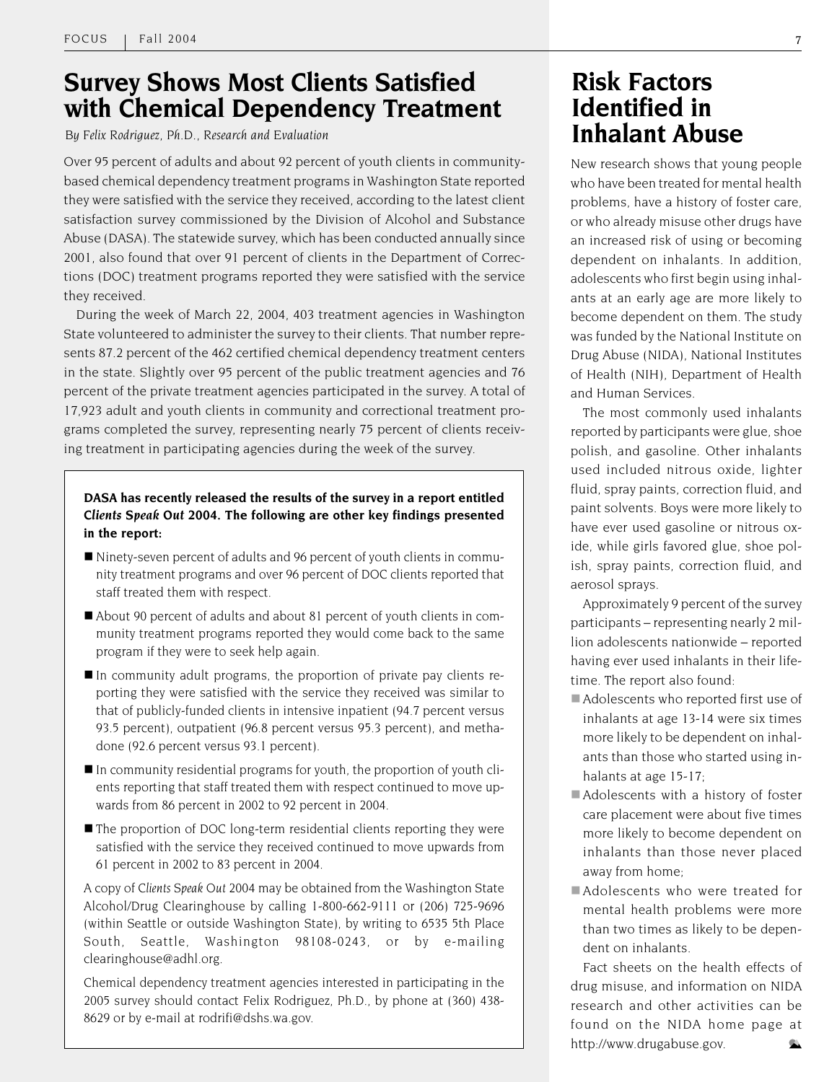### **Survey Shows Most Clients Satisfied with Chemical Dependency Treatment**

*By Felix Rodriguez, Ph.D., Research and Evaluation*

Over 95 percent of adults and about 92 percent of youth clients in communitybased chemical dependency treatment programs in Washington State reported they were satisfied with the service they received, according to the latest client satisfaction survey commissioned by the Division of Alcohol and Substance Abuse (DASA). The statewide survey, which has been conducted annually since 2001, also found that over 91 percent of clients in the Department of Corrections (DOC) treatment programs reported they were satisfied with the service they received.

During the week of March 22, 2004, 403 treatment agencies in Washington State volunteered to administer the survey to their clients. That number represents 87.2 percent of the 462 certified chemical dependency treatment centers in the state. Slightly over 95 percent of the public treatment agencies and 76 percent of the private treatment agencies participated in the survey. A total of 17,923 adult and youth clients in community and correctional treatment programs completed the survey, representing nearly 75 percent of clients receiving treatment in participating agencies during the week of the survey.

#### **DASA has recently released the results of the survey in a report entitled** *Clients Speak Out 2004***. The following are other key findings presented in the report:**

- Ninety-seven percent of adults and 96 percent of youth clients in community treatment programs and over 96 percent of DOC clients reported that staff treated them with respect.
- About 90 percent of adults and about 81 percent of youth clients in community treatment programs reported they would come back to the same program if they were to seek help again.
- In community adult programs, the proportion of private pay clients reporting they were satisfied with the service they received was similar to that of publicly-funded clients in intensive inpatient (94.7 percent versus 93.5 percent), outpatient (96.8 percent versus 95.3 percent), and methadone (92.6 percent versus 93.1 percent).
- $\blacksquare$  In community residential programs for youth, the proportion of youth clients reporting that staff treated them with respect continued to move upwards from 86 percent in 2002 to 92 percent in 2004.
- The proportion of DOC long-term residential clients reporting they were satisfied with the service they received continued to move upwards from 61 percent in 2002 to 83 percent in 2004.

A copy of *Clients Speak Out 2004* may be obtained from the Washington State Alcohol/Drug Clearinghouse by calling 1-800-662-9111 or (206) 725-9696 (within Seattle or outside Washington State), by writing to 6535 5th Place South, Seattle, Washington 98108-0243, or by e-mailing clearinghouse@adhl.org.

Chemical dependency treatment agencies interested in participating in the 2005 survey should contact Felix Rodriguez, Ph.D., by phone at (360) 438- 8629 or by e-mail at rodrifi@dshs.wa.gov.

### **Risk Factors Identified in Inhalant Abuse**

New research shows that young people who have been treated for mental health problems, have a history of foster care, or who already misuse other drugs have an increased risk of using or becoming dependent on inhalants. In addition, adolescents who first begin using inhalants at an early age are more likely to become dependent on them. The study was funded by the National Institute on Drug Abuse (NIDA), National Institutes of Health (NIH), Department of Health and Human Services.

The most commonly used inhalants reported by participants were glue, shoe polish, and gasoline. Other inhalants used included nitrous oxide, lighter fluid, spray paints, correction fluid, and paint solvents. Boys were more likely to have ever used gasoline or nitrous oxide, while girls favored glue, shoe polish, spray paints, correction fluid, and aerosol sprays.

Approximately 9 percent of the survey participants – representing nearly 2 million adolescents nationwide – reported having ever used inhalants in their lifetime. The report also found:

- Adolescents who reported first use of inhalants at age 13-14 were six times more likely to be dependent on inhalants than those who started using inhalants at age 15-17;
- Adolescents with a history of foster care placement were about five times more likely to become dependent on inhalants than those never placed away from home;
- Adolescents who were treated for mental health problems were more than two times as likely to be dependent on inhalants.

Fact sheets on the health effects of drug misuse, and information on NIDA research and other activities can be found on the NIDA home page at http://www.drugabuse.gov.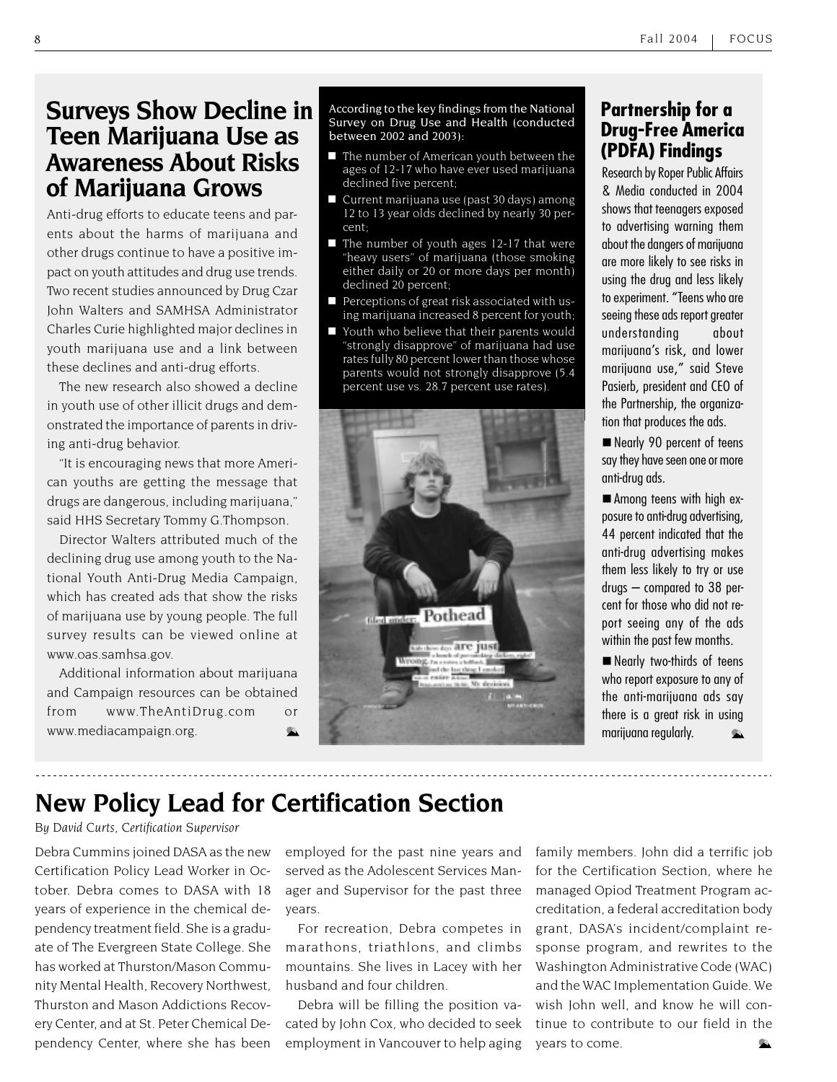### **Surveys Show Decline in Teen Marijuana Use as Awareness About Risks of Marijuana Grows**

Anti-drug efforts to educate teens and parents about the harms of marijuana and other drugs continue to have a positive impact on youth attitudes and drug use trends. Two recent studies announced by Drug Czar John Walters and SAMHSA Administrator Charles Curie highlighted major declines in youth marijuana use and a link between these declines and anti-drug efforts.

The new research also showed a decline in youth use of other illicit drugs and demonstrated the importance of parents in driving anti-drug behavior.

"It is encouraging news that more American youths are getting the message that drugs are dangerous, including marijuana," said HHS Secretary Tommy G.Thompson.

Director Walters attributed much of the declining drug use among youth to the National Youth Anti-Drug Media Campaign, which has created ads that show the risks of marijuana use by young people. The full survey results can be viewed online at www.oas.samhsa.gov.

Additional information about marijuana and Campaign resources can be obtained from www.TheAntiDrug.com or www.mediacampaign.org.

According to the key findings from the National Survey on Drug Use and Health (conducted between 2002 and 2003):

- $\blacksquare$  The number of American youth between the ages of 12-17 who have ever used marijuana declined five percent;
- Current marijuana use (past 30 days) among 12 to 13 year olds declined by nearly 30 percent;
- $\blacksquare$  The number of youth ages 12-17 that were "heavy users" of marijuana (those smoking either daily or 20 or more days per month) declined 20 percent;
- **Perceptions of great risk associated with us**ing marijuana increased 8 percent for youth;
- Youth who believe that their parents would "strongly disapprove" of marijuana had use rates fully 80 percent lower than those whose parents would not strongly disapprove (5.4 percent use vs. 28.7 percent use rates).



### **Partnership for a Drug-Free America (PDFA) Findings**

Research by Roper Public Affairs & Media conducted in 2004 shows that teenagers exposed to advertising warning them about the dangers of marijuana are more likely to see risks in using the drug and less likely to experiment. "Teens who are seeing these ads report greater understanding about marijuana's risk, and lower marijuana use," said Steve Pasierb, president and CEO of the Partnership, the organization that produces the ads.

Nearly 90 percent of teens say they have seen one or more anti-drug ads.

■ Among teens with high exposure to anti-drug advertising, 44 percent indicated that the anti-drug advertising makes them less likely to try or use drugs – compared to 38 percent for those who did not report seeing any of the ads within the past few months.

Nearly two-thirds of teens who report exposure to any of the anti-marijuana ads say there is a great risk in using marijuana regularly.

### **New Policy Lead for Certification Section**

*By David Curts, Certification Supervisor*

Debra Cummins joined DASA as the new Certification Policy Lead Worker in October. Debra comes to DASA with 18 years of experience in the chemical dependency treatment field. She is a graduate of The Evergreen State College. She has worked at Thurston/Mason Community Mental Health, Recovery Northwest, Thurston and Mason Addictions Recovery Center, and at St. Peter Chemical Dependency Center, where she has been

employed for the past nine years and served as the Adolescent Services Manager and Supervisor for the past three years.

For recreation, Debra competes in marathons, triathlons, and climbs mountains. She lives in Lacey with her husband and four children.

Debra will be filling the position vacated by John Cox, who decided to seek employment in Vancouver to help aging

family members. John did a terrific job for the Certification Section, where he managed Opiod Treatment Program accreditation, a federal accreditation body grant, DASA's incident/complaint response program, and rewrites to the Washington Administrative Code (WAC) and the WAC Implementation Guide. We wish John well, and know he will continue to contribute to our field in the years to come.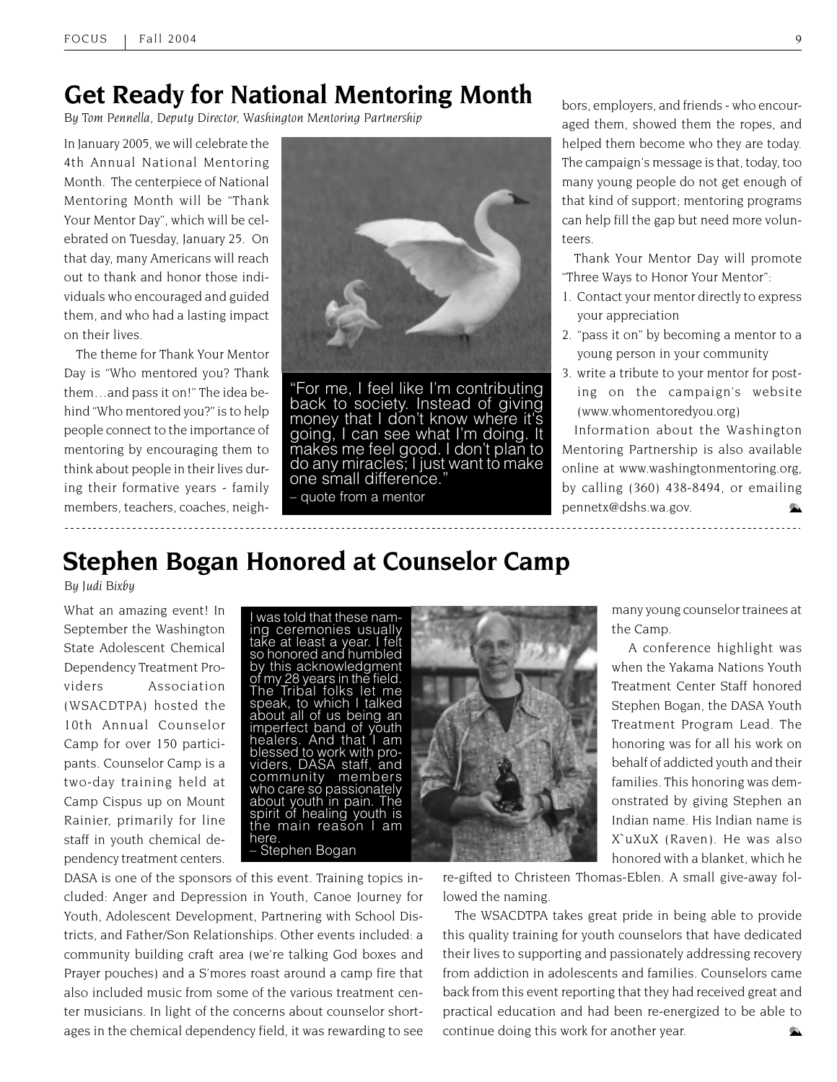### **Get Ready for National Mentoring Month**

*By Tom Pennella, Deputy Director, Washington Mentoring Partnership*

In January 2005, we will celebrate the 4th Annual National Mentoring Month. The centerpiece of National Mentoring Month will be "Thank Your Mentor Day", which will be celebrated on Tuesday, January 25. On that day, many Americans will reach out to thank and honor those individuals who encouraged and guided them, and who had a lasting impact on their lives.

The theme for Thank Your Mentor Day is "Who mentored you? Thank them…and pass it on!" The idea behind "Who mentored you?" is to help people connect to the importance of mentoring by encouraging them to think about people in their lives during their formative years - family members, teachers, coaches, neigh-



"For me, I feel like I'm contributing back to society. Instead of giving money that I don't know where it's<br>going, I can see what I'm doing. It makes me feel good. I don't plan to<br>do any miracles; I just want to make one small difference."

– quote from a mentor

bors, employers, and friends - who encouraged them, showed them the ropes, and helped them become who they are today. The campaign's message is that, today, too many young people do not get enough of that kind of support; mentoring programs can help fill the gap but need more volunteers.

Thank Your Mentor Day will promote "Three Ways to Honor Your Mentor":

- 1. Contact your mentor directly to express your appreciation
- 2. "pass it on" by becoming a mentor to a young person in your community
- 3. write a tribute to your mentor for posting on the campaign's website (www.whomentoredyou.org)

Information about the Washington Mentoring Partnership is also available online at www.washingtonmentoring.org, by calling (360) 438-8494, or emailing pennetx@dshs.wa.gov.

## **Stephen Bogan Honored at Counselor Camp**

*By Judi Bixby*

What an amazing event! In September the Washington State Adolescent Chemical Dependency Treatment Providers Association (WSACDTPA) hosted the 10th Annual Counselor Camp for over 150 participants. Counselor Camp is a two-day training held at Camp Cispus up on Mount Rainier, primarily for line staff in youth chemical dependency treatment centers.

I was told that these naming ceremonies usually take at least a year. I felt so honored and humbled by this acknowledgment of my 28 years in the field. Tribal folks let me speak, to which I talked about all of us being an imperfect band of youth healers. And that I am blessed to work with providers, DASA staff, and community members who care so passionately about youth in pain. The spirit of healing youth is the main reason I am here. – Stephen Bogan



many young counselor trainees at the Camp.

 A conference highlight was when the Yakama Nations Youth Treatment Center Staff honored Stephen Bogan, the DASA Youth Treatment Program Lead. The honoring was for all his work on behalf of addicted youth and their families. This honoring was demonstrated by giving Stephen an Indian name. His Indian name is X`uXuX (Raven). He was also honored with a blanket, which he

DASA is one of the sponsors of this event. Training topics included: Anger and Depression in Youth, Canoe Journey for Youth, Adolescent Development, Partnering with School Districts, and Father/Son Relationships. Other events included: a community building craft area (we're talking God boxes and Prayer pouches) and a S'mores roast around a camp fire that also included music from some of the various treatment center musicians. In light of the concerns about counselor shortages in the chemical dependency field, it was rewarding to see

re-gifted to Christeen Thomas-Eblen. A small give-away followed the naming.

The WSACDTPA takes great pride in being able to provide this quality training for youth counselors that have dedicated their lives to supporting and passionately addressing recovery from addiction in adolescents and families. Counselors came back from this event reporting that they had received great and practical education and had been re-energized to be able to continue doing this work for another year. C.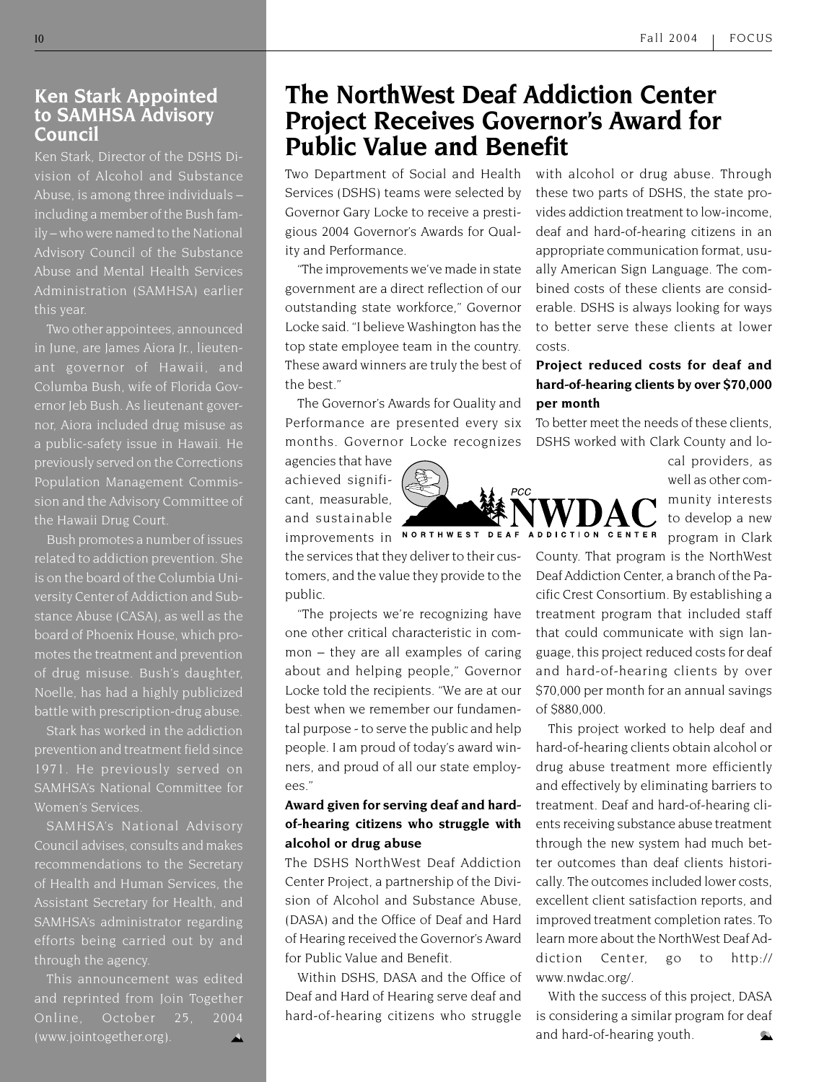#### **Ken Stark Appointed to SAMHSA Advisory Council**

Ken Stark, Director of the DSHS Division of Alcohol and Substance Abuse, is among three individuals – including a member of the Bush family – who were named to the National Advisory Council of the Substance Abuse and Mental Health Services Administration (SAMHSA) earlier this year.

Two other appointees, announced in June, are James Aiora Jr., lieutenant governor of Hawaii, and Columba Bush, wife of Florida Governor Jeb Bush. As lieutenant governor, Aiora included drug misuse as a public-safety issue in Hawaii. He previously served on the Corrections Population Management Commission and the Advisory Committee of the Hawaii Drug Court.

Bush promotes a number of issues related to addiction prevention. She is on the board of the Columbia University Center of Addiction and Substance Abuse (CASA), as well as the board of Phoenix House, which promotes the treatment and prevention of drug misuse. Bush's daughter, Noelle, has had a highly publicized battle with prescription-drug abuse.

Stark has worked in the addiction prevention and treatment field since 1971. He previously served on SAMHSA's National Committee for Women's Services.

SAMHSA's National Advisory Council advises, consults and makes recommendations to the Secretary of Health and Human Services, the Assistant Secretary for Health, and SAMHSA's administrator regarding efforts being carried out by and through the agency.

This announcement was edited and reprinted from Join Together Online, October 25, 2004 (www.jointogether.org).

### **The NorthWest Deaf Addiction Center Project Receives Governor's Award for Public Value and Benefit**

Services (DSHS) teams were selected by Governor Gary Locke to receive a prestigious 2004 Governor's Awards for Quality and Performance.

"The improvements we've made in state government are a direct reflection of our outstanding state workforce," Governor Locke said. "I believe Washington has the top state employee team in the country. These award winners are truly the best of the best."

The Governor's Awards for Quality and Performance are presented every six months. Governor Locke recognizes

agencies that have achieved significant, measurable, and sustainable

the services that they deliver to their customers, and the value they provide to the public.

"The projects we're recognizing have one other critical characteristic in common – they are all examples of caring about and helping people," Governor Locke told the recipients. "We are at our best when we remember our fundamental purpose - to serve the public and help people. I am proud of today's award winners, and proud of all our state employees."

#### **Award given for serving deaf and hardof-hearing citizens who struggle with alcohol or drug abuse**

The DSHS NorthWest Deaf Addiction Center Project, a partnership of the Division of Alcohol and Substance Abuse, (DASA) and the Office of Deaf and Hard of Hearing received the Governor's Award for Public Value and Benefit.

Within DSHS, DASA and the Office of Deaf and Hard of Hearing serve deaf and hard-of-hearing citizens who struggle

Two Department of Social and Health with alcohol or drug abuse. Through these two parts of DSHS, the state provides addiction treatment to low-income, deaf and hard-of-hearing citizens in an appropriate communication format, usually American Sign Language. The combined costs of these clients are considerable. DSHS is always looking for ways to better serve these clients at lower costs.

#### **Project reduced costs for deaf and hard-of-hearing clients by over \$70,000 per month**

To better meet the needs of these clients, DSHS worked with Clark County and lo-

> cal providers, as well as other community interests to develop a new program in Clark

County. That program is the NorthWest Deaf Addiction Center, a branch of the Pacific Crest Consortium. By establishing a treatment program that included staff that could communicate with sign language, this project reduced costs for deaf and hard-of-hearing clients by over \$70,000 per month for an annual savings of \$880,000.

This project worked to help deaf and hard-of-hearing clients obtain alcohol or drug abuse treatment more efficiently and effectively by eliminating barriers to treatment. Deaf and hard-of-hearing clients receiving substance abuse treatment through the new system had much better outcomes than deaf clients historically. The outcomes included lower costs, excellent client satisfaction reports, and improved treatment completion rates. To learn more about the NorthWest Deaf Addiction Center, go to http:// www.nwdac.org/.

With the success of this project, DASA is considering a similar program for deaf and hard-of-hearing youth. C.

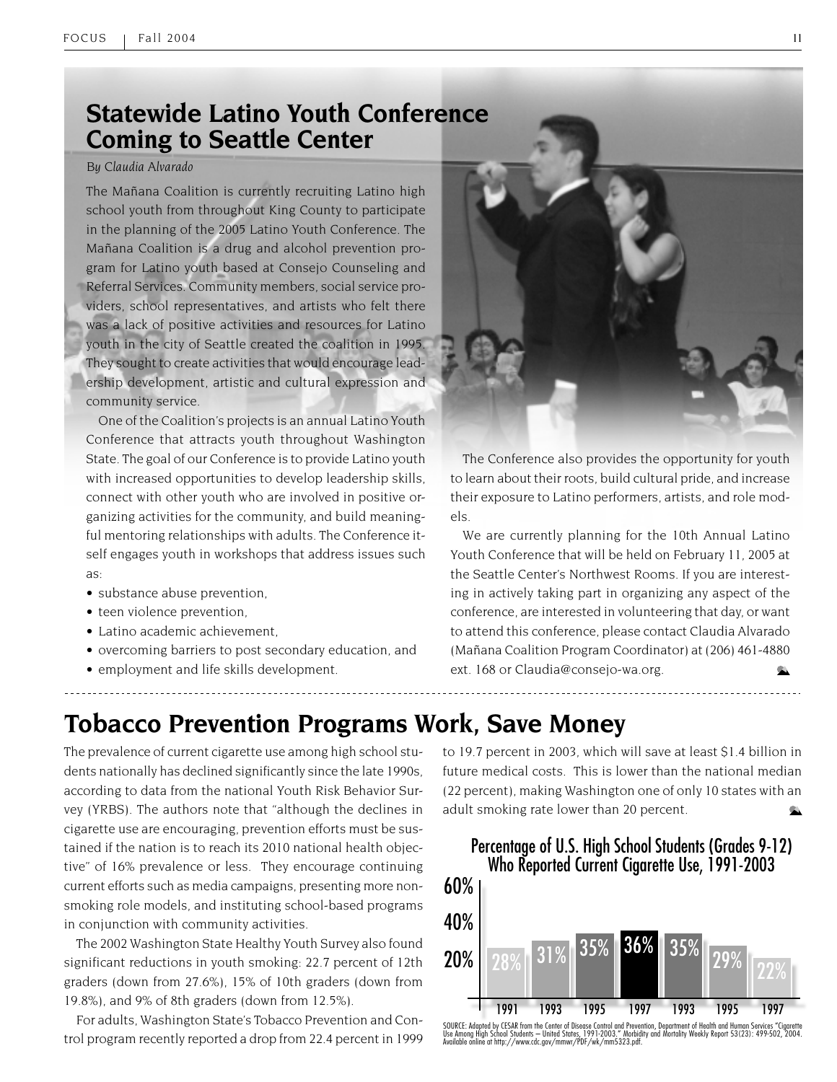### **Statewide Latino Youth Conference Coming to Seattle Center**

#### *By Claudia Alvarado*

The Mañana Coalition is currently recruiting Latino high school youth from throughout King County to participate in the planning of the 2005 Latino Youth Conference. The Mañana Coalition is a drug and alcohol prevention program for Latino youth based at Consejo Counseling and Referral Services. Community members, social service providers, school representatives, and artists who felt there was a lack of positive activities and resources for Latino youth in the city of Seattle created the coalition in 1995. They sought to create activities that would encourage leadership development, artistic and cultural expression and community service.

One of the Coalition's projects is an annual Latino Youth Conference that attracts youth throughout Washington State. The goal of our Conference is to provide Latino youth with increased opportunities to develop leadership skills, connect with other youth who are involved in positive organizing activities for the community, and build meaningful mentoring relationships with adults. The Conference itself engages youth in workshops that address issues such as:

- substance abuse prevention,
- teen violence prevention,
- Latino academic achievement,
- overcoming barriers to post secondary education, and
- employment and life skills development.



The Conference also provides the opportunity for youth to learn about their roots, build cultural pride, and increase their exposure to Latino performers, artists, and role models.

We are currently planning for the 10th Annual Latino Youth Conference that will be held on February 11, 2005 at the Seattle Center's Northwest Rooms. If you are interesting in actively taking part in organizing any aspect of the conference, are interested in volunteering that day, or want to attend this conference, please contact Claudia Alvarado (Mañana Coalition Program Coordinator) at (206) 461-4880 ext. 168 or Claudia@consejo-wa.org.

### **Tobacco Prevention Programs Work, Save Money**

The prevalence of current cigarette use among high school students nationally has declined significantly since the late 1990s, according to data from the national Youth Risk Behavior Survey (YRBS). The authors note that "although the declines in cigarette use are encouraging, prevention efforts must be sustained if the nation is to reach its 2010 national health objective" of 16% prevalence or less. They encourage continuing current efforts such as media campaigns, presenting more nonsmoking role models, and instituting school-based programs in conjunction with community activities.

The 2002 Washington State Healthy Youth Survey also found significant reductions in youth smoking: 22.7 percent of 12th graders (down from 27.6%), 15% of 10th graders (down from 19.8%), and 9% of 8th graders (down from 12.5%).

For adults, Washington State's Tobacco Prevention and Control program recently reported a drop from 22.4 percent in 1999 to 19.7 percent in 2003, which will save at least \$1.4 billion in future medical costs. This is lower than the national median (22 percent), making Washington one of only 10 states with an adult smoking rate lower than 20 percent.



SOURCE: Adapted by CESAR from the Center of Disease Control and Prevention, Department of Health and Human Services "Cigarette<br>Use Among High School Students — United States, 1991-2003." Mothidity and Mortality Weekly Repo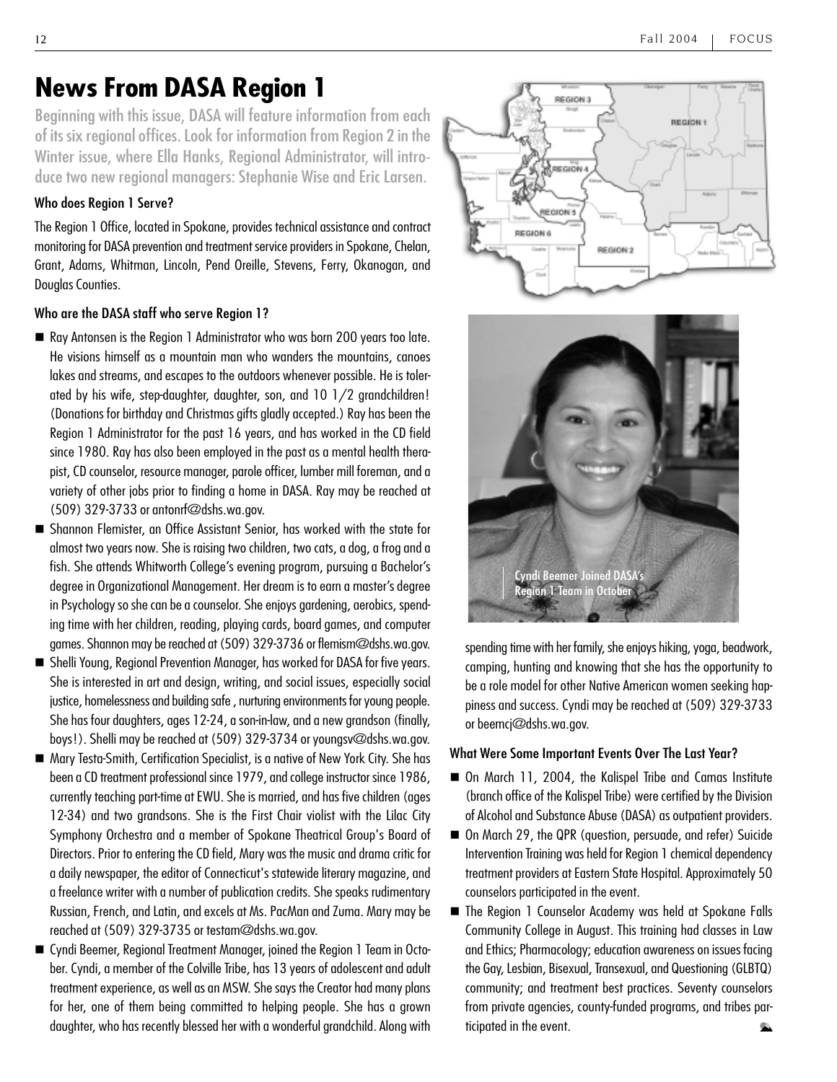### **News From DASA Region 1**

Beginning with this issue, DASA will feature information from each of its six regional offices. Look for information from Region 2 in the Winter issue, where Ella Hanks, Regional Administrator, will introduce two new regional managers: Stephanie Wise and Eric Larsen.

#### Who does Region 1 Serve?

The Region 1 Office, located in Spokane, provides technical assistance and contract monitoring for DASA prevention and treatment service providers in Spokane, Chelan, Grant, Adams, Whitman, Lincoln, Pend Oreille, Stevens, Ferry, Okanogan, and Douglas Counties.

#### Who are the DASA staff who serve Region 1?

- Ray Antonsen is the Region 1 Administrator who was born 200 years too late. He visions himself as a mountain man who wanders the mountains, canoes lakes and streams, and escapes to the outdoors whenever possible. He is tolerated by his wife, step-daughter, daughter, son, and 10 1/2 grandchildren! (Donations for birthday and Christmas gifts gladly accepted.) Ray has been the Region 1 Administrator for the past 16 years, and has worked in the CD field since 1980. Ray has also been employed in the past as a mental health therapist, CD counselor, resource manager, parole officer, lumber mill foreman, and a variety of other jobs prior to finding a home in DASA. Ray may be reached at (509) 329-3733 or antonrf@dshs.wa.gov.
- Shannon Flemister, an Office Assistant Senior, has worked with the state for almost two years now. She is raising two children, two cats, a dog, a frog and a fish. She attends Whitworth College's evening program, pursuing a Bachelor's degree in Organizational Management. Her dream is to earn a master's degree in Psychology so she can be a counselor. She enjoys gardening, aerobics, spending time with her children, reading, playing cards, board games, and computer games. Shannon may be reached at (509) 329-3736 or flemism@dshs.wa.gov.
- Shelli Young, Regional Prevention Manager, has worked for DASA for five years. She is interested in art and design, writing, and social issues, especially social justice, homelessness and building safe , nurturing environments for young people. She has four daughters, ages 12-24, a son-in-law, and a new grandson (finally, boys!). Shelli may be reached at (509) 329-3734 or youngsv@dshs.wa.gov.
- Mary Testa-Smith, Certification Specialist, is a native of New York City. She has been a CD treatment professional since 1979, and college instructor since 1986, currently teaching part-time at EWU. She is married, and has five children (ages 12-34) and two grandsons. She is the First Chair violist with the Lilac City Symphony Orchestra and a member of Spokane Theatrical Group's Board of Directors. Prior to entering the CD field, Mary was the music and drama critic for a daily newspaper, the editor of Connecticut's statewide literary magazine, and a freelance writer with a number of publication credits. She speaks rudimentary Russian, French, and Latin, and excels at Ms. PacMan and Zuma. Mary may be reached at (509) 329-3735 or testam@dshs.wa.gov.
- Cyndi Beemer, Regional Treatment Manager, joined the Region 1 Team in October. Cyndi, a member of the Colville Tribe, has 13 years of adolescent and adult treatment experience, as well as an MSW. She says the Creator had many plans for her, one of them being committed to helping people. She has a grown daughter, who has recently blessed her with a wonderful grandchild. Along with





spending time with her family, she enjoys hiking, yoga, beadwork, camping, hunting and knowing that she has the opportunity to be a role model for other Native American women seeking happiness and success. Cyndi may be reached at (509) 329-3733 or beemcj@dshs.wa.gov.

#### What Were Some Important Events Over The Last Year?

- On March 11, 2004, the Kalispel Tribe and Camas Institute (branch office of the Kalispel Tribe) were certified by the Division of Alcohol and Substance Abuse (DASA) as outpatient providers.
- On March 29, the QPR (question, persuade, and refer) Suicide Intervention Training was held for Region 1 chemical dependency treatment providers at Eastern State Hospital. Approximately 50 counselors participated in the event.
- The Region 1 Counselor Academy was held at Spokane Falls Community College in August. This training had classes in Law and Ethics; Pharmacology; education awareness on issues facing the Gay, Lesbian, Bisexual, Transexual, and Questioning (GLBTQ) community; and treatment best practices. Seventy counselors from private agencies, county-funded programs, and tribes participated in the event.  $\overline{\phantom{a}}$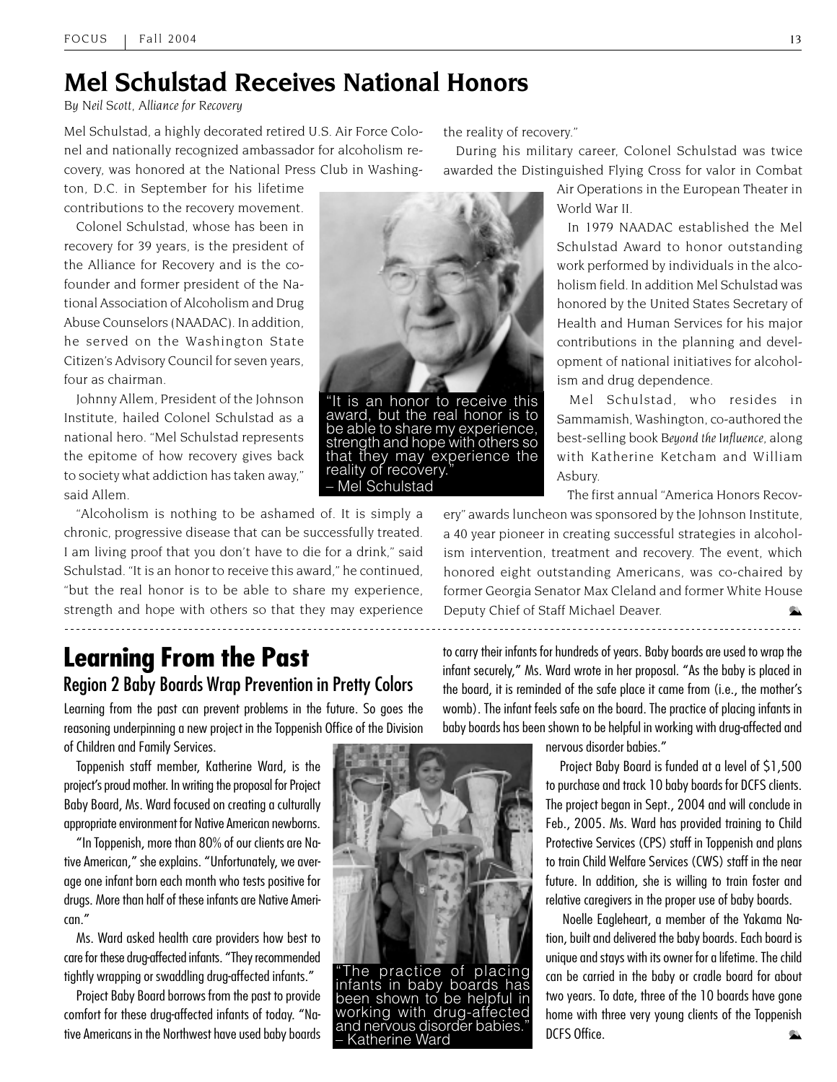### **Mel Schulstad Receives National Honors**

*By Neil Scott, Alliance for Recovery*

Mel Schulstad, a highly decorated retired U.S. Air Force Colonel and nationally recognized ambassador for alcoholism recovery, was honored at the National Press Club in Washing-

ton, D.C. in September for his lifetime contributions to the recovery movement.

Colonel Schulstad, whose has been in recovery for 39 years, is the president of the Alliance for Recovery and is the cofounder and former president of the National Association of Alcoholism and Drug Abuse Counselors (NAADAC). In addition, he served on the Washington State Citizen's Advisory Council for seven years, four as chairman.

Johnny Allem, President of the Johnson Institute, hailed Colonel Schulstad as a national hero. "Mel Schulstad represents the epitome of how recovery gives back to society what addiction has taken away," said Allem.

"Alcoholism is nothing to be ashamed of. It is simply a chronic, progressive disease that can be successfully treated. I am living proof that you don't have to die for a drink," said Schulstad. "It is an honor to receive this award," he continued, "but the real honor is to be able to share my experience, strength and hope with others so that they may experience 

the reality of recovery."

During his military career, Colonel Schulstad was twice awarded the Distinguished Flying Cross for valor in Combat

> Air Operations in the European Theater in World War II.

> In 1979 NAADAC established the Mel Schulstad Award to honor outstanding work performed by individuals in the alcoholism field. In addition Mel Schulstad was honored by the United States Secretary of Health and Human Services for his major contributions in the planning and development of national initiatives for alcoholism and drug dependence.

> Mel Schulstad, who resides in Sammamish, Washington, co-authored the best-selling book *Beyond the Influence*, along with Katherine Ketcham and William Asbury.

The first annual "America Honors Recov-

ery" awards luncheon was sponsored by the Johnson Institute, a 40 year pioneer in creating successful strategies in alcoholism intervention, treatment and recovery. The event, which honored eight outstanding Americans, was co-chaired by former Georgia Senator Max Cleland and former White House Deputy Chief of Staff Michael Deaver. 

### **Learning From the Past** Region 2 Baby Boards Wrap Prevention in Pretty Colors

Learning from the past can prevent problems in the future. So goes the reasoning underpinning a new project in the Toppenish Office of the Division

of Children and Family Services.

Toppenish staff member, Katherine Ward, is the project's proud mother. In writing the proposal for Project Baby Board, Ms. Ward focused on creating a culturally appropriate environment for Native American newborns.

"In Toppenish, more than 80% of our clients are Native American," she explains. "Unfortunately, we average one infant born each month who tests positive for drugs. More than half of these infants are Native American."

Ms. Ward asked health care providers how best to care for these drug-affected infants. "They recommended tightly wrapping or swaddling drug-affected infants."

Project Baby Board borrows from the past to provide comfort for these drug-affected infants of today. "Native Americans in the Northwest have used baby boards



"The practice of placing infants in baby boards has been shown to be helpful in working with drug-affected and nervous disorder babies.<br>- Katherine Ward

to carry their infants for hundreds of years. Baby boards are used to wrap the infant securely," Ms. Ward wrote in her proposal. "As the baby is placed in the board, it is reminded of the safe place it came from (i.e., the mother's womb). The infant feels safe on the board. The practice of placing infants in baby boards has been shown to be helpful in working with drug-affected and

nervous disorder babies."

 Project Baby Board is funded at a level of \$1,500 to purchase and track 10 baby boards for DCFS clients. The project began in Sept., 2004 and will conclude in Feb., 2005. Ms. Ward has provided training to Child Protective Services (CPS) staff in Toppenish and plans to train Child Welfare Services (CWS) staff in the near future. In addition, she is willing to train foster and relative caregivers in the proper use of baby boards.

 Noelle Eagleheart, a member of the Yakama Nation, built and delivered the baby boards. Each board is unique and stays with its owner for a lifetime. The child can be carried in the baby or cradle board for about two years. To date, three of the 10 boards have gone home with three very young clients of the Toppenish DCFS Office. Ġ.



award, but the real honor is to be able to share my experience, strength and hope with others so that they may experience the reality of recovery. – Mel Schulstad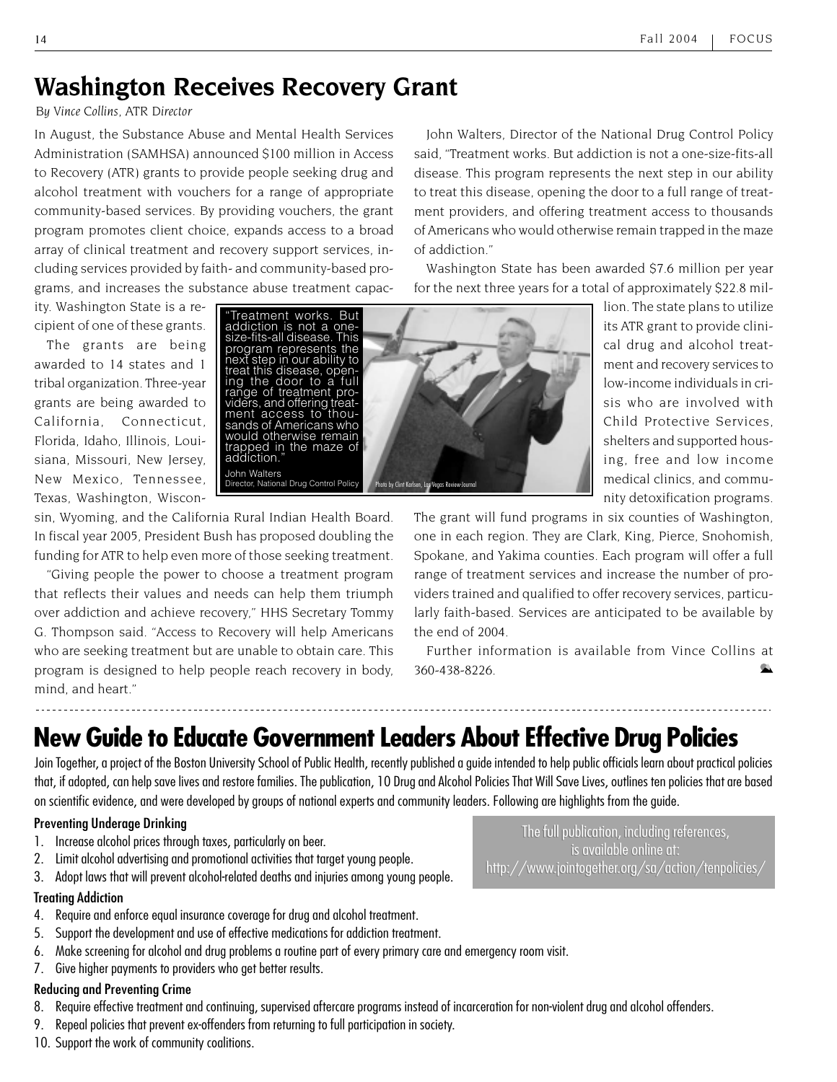### **Washington Receives Recovery Grant**

*By Vince Collins, ATR Director*

In August, the Substance Abuse and Mental Health Services Administration (SAMHSA) announced \$100 million in Access to Recovery (ATR) grants to provide people seeking drug and alcohol treatment with vouchers for a range of appropriate community-based services. By providing vouchers, the grant program promotes client choice, expands access to a broad array of clinical treatment and recovery support services, including services provided by faith- and community-based programs, and increases the substance abuse treatment capac-

John Walters, Director of the National Drug Control Policy said, "Treatment works. But addiction is not a one-size-fits-all disease. This program represents the next step in our ability to treat this disease, opening the door to a full range of treatment providers, and offering treatment access to thousands of Americans who would otherwise remain trapped in the maze of addiction."

Washington State has been awarded \$7.6 million per year for the next three years for a total of approximately \$22.8 mil-

ity. Washington State is a recipient of one of these grants.

The grants are being awarded to 14 states and 1 tribal organization. Three-year grants are being awarded to California, Connecticut, Florida, Idaho, Illinois, Louisiana, Missouri, New Jersey, New Mexico, Tennessee, Texas, Washington, Wiscon-



lion. The state plans to utilize its ATR grant to provide clinical drug and alcohol treatment and recovery services to low-income individuals in crisis who are involved with Child Protective Services, shelters and supported housing, free and low income medical clinics, and community detoxification programs.

sin, Wyoming, and the California Rural Indian Health Board. In fiscal year 2005, President Bush has proposed doubling the funding for ATR to help even more of those seeking treatment.

"Giving people the power to choose a treatment program that reflects their values and needs can help them triumph over addiction and achieve recovery," HHS Secretary Tommy G. Thompson said. "Access to Recovery will help Americans who are seeking treatment but are unable to obtain care. This program is designed to help people reach recovery in body, mind, and heart."

The grant will fund programs in six counties of Washington, one in each region. They are Clark, King, Pierce, Snohomish, Spokane, and Yakima counties. Each program will offer a full range of treatment services and increase the number of providers trained and qualified to offer recovery services, particularly faith-based. Services are anticipated to be available by the end of 2004.

Further information is available from Vince Collins at 360-438-8226.

# **New Guide to Educate Government Leaders About Effective Drug Policies**

Join Together, a project of the Boston University School of Public Health, recently published a guide intended to help public officials learn about practical policies that, if adopted, can help save lives and restore families. The publication, 10 Drug and Alcohol Policies That Will Save Lives, outlines ten policies that are based on scientific evidence, and were developed by groups of national experts and community leaders. Following are highlights from the guide.

#### Preventing Underage Drinking

- 1. Increase alcohol prices through taxes, particularly on beer.
- 2. Limit alcohol advertising and promotional activities that target young people.
- 3. Adopt laws that will prevent alcohol-related deaths and injuries among young people.

#### Treating Addiction

- 4. Require and enforce equal insurance coverage for drug and alcohol treatment.
- 5. Support the development and use of effective medications for addiction treatment.
- 6. Make screening for alcohol and drug problems a routine part of every primary care and emergency room visit.
- 7. Give higher payments to providers who get better results.

#### Reducing and Preventing Crime

- 8. Require effective treatment and continuing, supervised aftercare programs instead of incarceration for non-violent drug and alcohol offenders.
- 9. Repeal policies that prevent ex-offenders from returning to full participation in society.
- 10. Support the work of community coalitions.

The full publication, including references,<br>is available online at: is available online at: http://www.jointogether.org/sa/action/tenpolicies/ http://www.jointogether.org/sa/action/tenpolicies/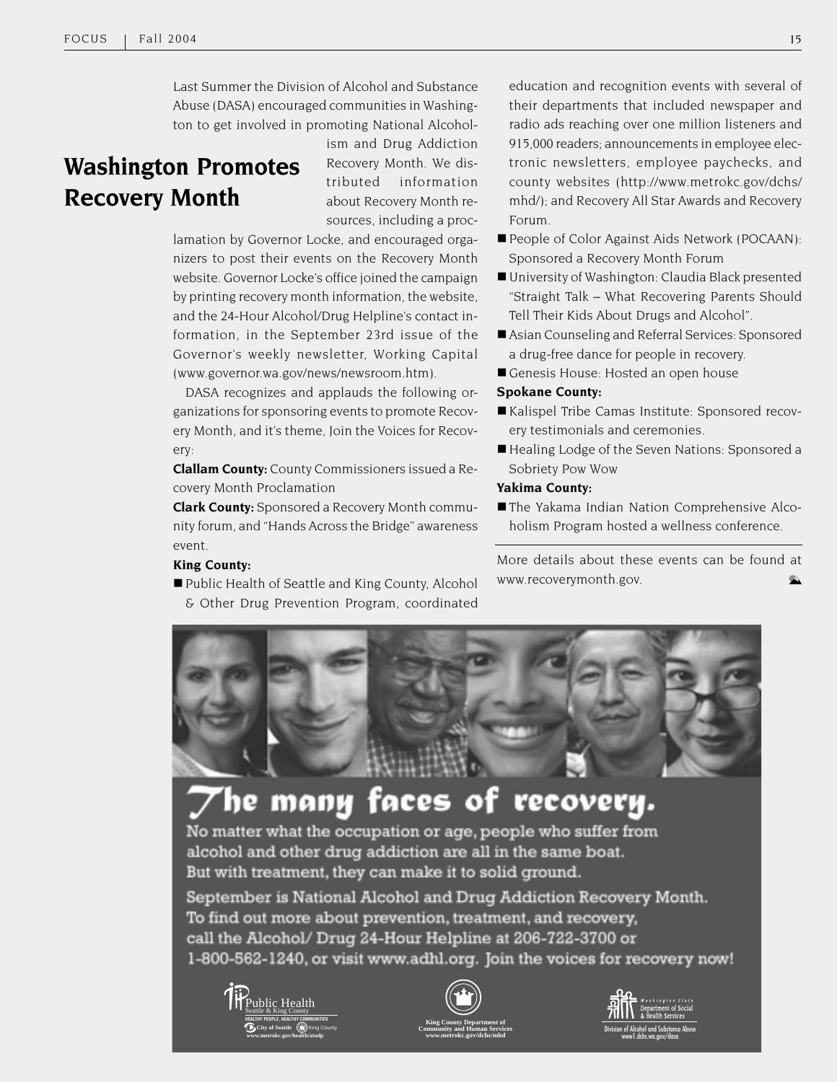Last Summer the Division of Alcohol and Substance Abuse (DASA) encouraged communities in Washington to get involved in promoting National Alcohol-

### **Washington Promotes Recovery Month**

ism and Drug Addiction Recovery Month. We distributed information about Recovery Month resources, including a proc-

lamation by Governor Locke, and encouraged organizers to post their events on the Recovery Month website. Governor Locke's office joined the campaign by printing recovery month information, the website, and the 24-Hour Alcohol/Drug Helpline's contact information, in the September 23rd issue of the Governor's weekly newsletter, Working Capital (www.governor.wa.gov/news/newsroom.htm).

DASA recognizes and applauds the following organizations for sponsoring events to promote Recovery Month, and it's theme, Join the Voices for Recovery:

**Clallam County:** County Commissioners issued a Recovery Month Proclamation

**Clark County:** Sponsored a Recovery Month community forum, and "Hands Across the Bridge" awareness event.

#### **King County:**

■ Public Health of Seattle and King County, Alcohol & Other Drug Prevention Program, coordinated education and recognition events with several of their departments that included newspaper and radio ads reaching over one million listeners and 915,000 readers; announcements in employee electronic newsletters, employee paychecks, and county websites (http://www.metrokc.gov/dchs/ mhd/); and Recovery All Star Awards and Recovery Forum.

- People of Color Against Aids Network (POCAAN): Sponsored a Recovery Month Forum
- University of Washington: Claudia Black presented "Straight Talk – What Recovering Parents Should Tell Their Kids About Drugs and Alcohol".
- Asian Counseling and Referral Services: Sponsored a drug-free dance for people in recovery.
- Genesis House: Hosted an open house

#### **Spokane County:**

- Kalispel Tribe Camas Institute: Sponsored recovery testimonials and ceremonies.
- Healing Lodge of the Seven Nations: Sponsored a Sobriety Pow Wow

#### **Yakima County:**

 The Yakama Indian Nation Comprehensive Alcoholism Program hosted a wellness conference.

More details about these events can be found at www.recoverymonth.gov.



# he many faces of recovery.

No matter what the occupation or age, people who suffer from alcohol and other drug addiction are all in the same boat. But with treatment, they can make it to solid ground.

September is National Alcohol and Drug Addiction Recovery Month. To find out more about prevention, treatment, and recovery, call the Alcohol/ Drug 24-Hour Helpline at 206-722-3700 or 1-800-562-1240, or visit www.adhl.org. Join the voices for recovery now!